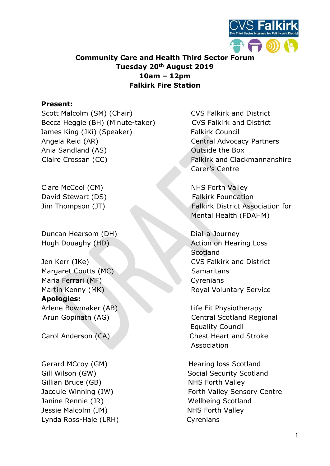

## Community Care and Health Third Sector Forum Tuesday 20<sup>th</sup> August 2019 10am – 12pm Falkirk Fire Station

### Present:

Scott Malcolm (SM) (Chair) CVS Falkirk and District Becca Heggie (BH) (Minute-taker) CVS Falkirk and District James King (JKi) (Speaker) Falkirk Council Angela Reid (AR) Central Advocacy Partners Ania Sandland (AS) Contract Ania Sandland (AS) Claire Crossan (CC) **Falkirk and Clackmannanshire** 

Clare McCool (CM) NHS Forth Valley David Stewart (DS) Falkirk Foundation

Duncan Hearsom (DH) Dial-a-Journey

Margaret Coutts (MC) Samaritans Maria Ferrari (MF) Cyrenians Apologies: Arlene Bowmaker (AB) Life Fit Physiotherapy

Gerard MCcoy (GM) **Hearing loss Scotland** Gillian Bruce (GB) NHS Forth Valley Janine Rennie (JR) Wellbeing Scotland Jessie Malcolm (JM) NHS Forth Valley Lynda Ross-Hale (LRH) Cyrenians

Carer's Centre

Jim Thompson (JT) Falkirk District Association for Mental Health (FDAHM)

Hugh Douaghy (HD) **Action on Hearing Loss Scotland** Jen Kerr (JKe) CVS Falkirk and District Martin Kenny (MK) Royal Voluntary Service

Arun Gopinath (AG) Central Scotland Regional Equality Council Carol Anderson (CA) Chest Heart and Stroke Association

Gill Wilson (GW) Social Security Scotland Jacquie Winning (JW) The Sensory Centre Forth Valley Sensory Centre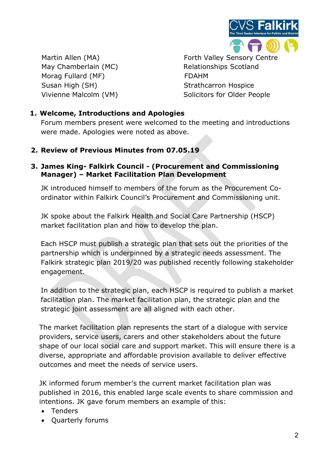

May Chamberlain (MC) Relationships Scotland Morag Fullard (MF) FDAHM Susan High (SH) Strathcarron Hospice

Martin Allen (MA) The Sensory Centre Control of Tabley Sensory Centre Vivienne Malcolm (VM) Solicitors for Older People

## 1. Welcome, Introductions and Apologies

Forum members present were welcomed to the meeting and introductions were made. Apologies were noted as above.

### 2. Review of Previous Minutes from 07.05.19

### 3. James King- Falkirk Council - (Procurement and Commissioning Manager) – Market Facilitation Plan Development

JK introduced himself to members of the forum as the Procurement Coordinator within Falkirk Council's Procurement and Commissioning unit.

JK spoke about the Falkirk Health and Social Care Partnership (HSCP) market facilitation plan and how to develop the plan.

Each HSCP must publish a strategic plan that sets out the priorities of the partnership which is underpinned by a strategic needs assessment. The Falkirk strategic plan 2019/20 was published recently following stakeholder engagement.

In addition to the strategic plan, each HSCP is required to publish a market facilitation plan. The market facilitation plan, the strategic plan and the strategic joint assessment are all aligned with each other.

The market facilitation plan represents the start of a dialogue with service providers, service users, carers and other stakeholders about the future shape of our local social care and support market. This will ensure there is a diverse, appropriate and affordable provision available to deliver effective outcomes and meet the needs of service users.

JK informed forum member's the current market facilitation plan was published in 2016, this enabled large scale events to share commission and intentions. JK gave forum members an example of this:

- Tenders
- Quarterly forums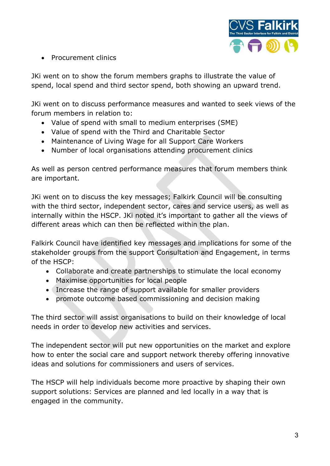

• Procurement clinics

JKi went on to show the forum members graphs to illustrate the value of spend, local spend and third sector spend, both showing an upward trend.

JKi went on to discuss performance measures and wanted to seek views of the forum members in relation to:

- Value of spend with small to medium enterprises (SME)
- Value of spend with the Third and Charitable Sector
- Maintenance of Living Wage for all Support Care Workers
- Number of local organisations attending procurement clinics

As well as person centred performance measures that forum members think are important.

JKi went on to discuss the key messages; Falkirk Council will be consulting with the third sector, independent sector, cares and service users, as well as internally within the HSCP. JKi noted it's important to gather all the views of different areas which can then be reflected within the plan.

Falkirk Council have identified key messages and implications for some of the stakeholder groups from the support Consultation and Engagement, in terms of the HSCP:

- Collaborate and create partnerships to stimulate the local economy
- Maximise opportunities for local people
- Increase the range of support available for smaller providers
- promote outcome based commissioning and decision making

The third sector will assist organisations to build on their knowledge of local needs in order to develop new activities and services.

The independent sector will put new opportunities on the market and explore how to enter the social care and support network thereby offering innovative ideas and solutions for commissioners and users of services.

The HSCP will help individuals become more proactive by shaping their own support solutions: Services are planned and led locally in a way that is engaged in the community.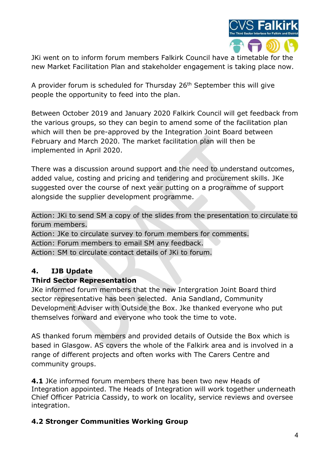

JKi went on to inform forum members Falkirk Council have a timetable for the new Market Facilitation Plan and stakeholder engagement is taking place now.

A provider forum is scheduled for Thursday 26th September this will give people the opportunity to feed into the plan.

Between October 2019 and January 2020 Falkirk Council will get feedback from the various groups, so they can begin to amend some of the facilitation plan which will then be pre-approved by the Integration Joint Board between February and March 2020. The market facilitation plan will then be implemented in April 2020.

There was a discussion around support and the need to understand outcomes, added value, costing and pricing and tendering and procurement skills. JKe suggested over the course of next year putting on a programme of support alongside the supplier development programme.

Action: JKi to send SM a copy of the slides from the presentation to circulate to forum members.

Action: JKe to circulate survey to forum members for comments. Action: Forum members to email SM any feedback. Action: SM to circulate contact details of JKi to forum.

# 4. IJB Update

## Third Sector Representation

JKe informed forum members that the new Intergration Joint Board third sector representative has been selected. Ania Sandland, Community Development Adviser with Outside the Box. Jke thanked everyone who put themselves forward and everyone who took the time to vote.

AS thanked forum members and provided details of Outside the Box which is based in Glasgow. AS covers the whole of the Falkirk area and is involved in a range of different projects and often works with The Carers Centre and community groups.

**4.1** JKe informed forum members there has been two new Heads of Integration appointed. The Heads of Integration will work together underneath Chief Officer Patricia Cassidy, to work on locality, service reviews and oversee integration.

## 4.2 Stronger Communities Working Group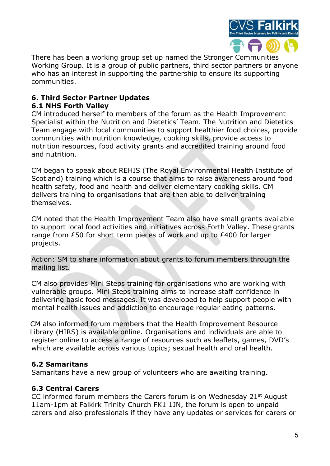

There has been a working group set up named the Stronger Communities Working Group. It is a group of public partners, third sector partners or anyone who has an interest in supporting the partnership to ensure its supporting communities.

#### 6. Third Sector Partner Updates 6.1 NHS Forth Valley

CM introduced herself to members of the forum as the Health Improvement Specialist within the Nutrition and Dietetics' Team. The Nutrition and Dietetics Team engage with local communities to support healthier food choices, provide communities with nutrition knowledge, cooking skills, provide access to nutrition resources, food activity grants and accredited training around food and nutrition.

CM began to speak about REHIS (The Royal Environmental Health Institute of Scotland) training which is a course that aims to raise awareness around food health safety, food and health and deliver elementary cooking skills. CM delivers training to organisations that are then able to deliver training themselves.

CM noted that the Health Improvement Team also have small grants available to support local food activities and initiatives across Forth Valley. These grants range from £50 for short term pieces of work and up to £400 for larger projects.

Action: SM to share information about grants to forum members through the mailing list.

CM also provides Mini Steps training for organisations who are working with vulnerable groups. Mini Steps training aims to increase staff confidence in delivering basic food messages. It was developed to help support people with mental health issues and addiction to encourage regular eating patterns.

 CM also informed forum members that the Health Improvement Resource Library (HIRS) is available online. Organisations and individuals are able to register online to access a range of resources such as leaflets, games, DVD's which are available across various topics; sexual health and oral health.

## 6.2 Samaritans

Samaritans have a new group of volunteers who are awaiting training.

## 6.3 Central Carers

CC informed forum members the Carers forum is on Wednesday 21st August 11am-1pm at Falkirk Trinity Church FK1 1JN, the forum is open to unpaid carers and also professionals if they have any updates or services for carers or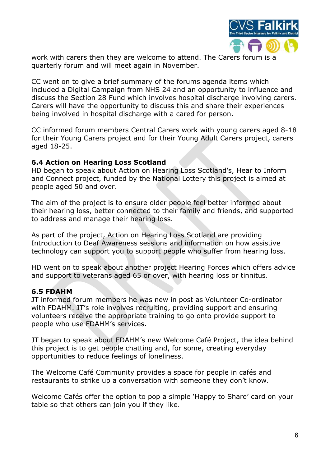

work with carers then they are welcome to attend. The Carers forum is a quarterly forum and will meet again in November.

CC went on to give a brief summary of the forums agenda items which included a Digital Campaign from NHS 24 and an opportunity to influence and discuss the Section 28 Fund which involves hospital discharge involving carers. Carers will have the opportunity to discuss this and share their experiences being involved in hospital discharge with a cared for person.

CC informed forum members Central Carers work with young carers aged 8-18 for their Young Carers project and for their Young Adult Carers project, carers aged 18-25.

#### 6.4 Action on Hearing Loss Scotland

HD began to speak about Action on Hearing Loss Scotland's, Hear to Inform and Connect project, funded by the National Lottery this project is aimed at people aged 50 and over.

The aim of the project is to ensure older people feel better informed about their hearing loss, better connected to their family and friends, and supported to address and manage their hearing loss.

As part of the project, Action on Hearing Loss Scotland are providing Introduction to Deaf Awareness sessions and information on how assistive technology can support you to support people who suffer from hearing loss.

HD went on to speak about another project Hearing Forces which offers advice and support to veterans aged 65 or over, with hearing loss or tinnitus.

### 6.5 FDAHM

JT informed forum members he was new in post as Volunteer Co-ordinator with FDAHM. JT's role involves recruiting, providing support and ensuring volunteers receive the appropriate training to go onto provide support to people who use FDAHM's services.

JT began to speak about FDAHM's new Welcome Café Project, the idea behind this project is to get people chatting and, for some, creating everyday opportunities to reduce feelings of loneliness.

The Welcome Café Community provides a space for people in cafés and restaurants to strike up a conversation with someone they don't know.

Welcome Cafés offer the option to pop a simple 'Happy to Share' card on your table so that others can join you if they like.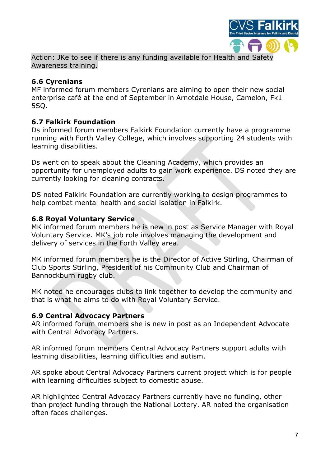

Action: JKe to see if there is any funding available for Health and Safety Awareness training.

## 6.6 Cyrenians

MF informed forum members Cyrenians are aiming to open their new social enterprise café at the end of September in Arnotdale House, Camelon, Fk1 5SQ.

## 6.7 Falkirk Foundation

Ds informed forum members Falkirk Foundation currently have a programme running with Forth Valley College, which involves supporting 24 students with learning disabilities.

Ds went on to speak about the Cleaning Academy, which provides an opportunity for unemployed adults to gain work experience. DS noted they are currently looking for cleaning contracts.

DS noted Falkirk Foundation are currently working to design programmes to help combat mental health and social isolation in Falkirk.

## 6.8 Royal Voluntary Service

MK informed forum members he is new in post as Service Manager with Royal Voluntary Service. MK's job role involves managing the development and delivery of services in the Forth Valley area.

MK informed forum members he is the Director of Active Stirling, Chairman of Club Sports Stirling, President of his Community Club and Chairman of Bannockburn rugby club.

MK noted he encourages clubs to link together to develop the community and that is what he aims to do with Royal Voluntary Service.

### 6.9 Central Advocacy Partners

AR informed forum members she is new in post as an Independent Advocate with Central Advocacy Partners.

AR informed forum members Central Advocacy Partners support adults with learning disabilities, learning difficulties and autism.

AR spoke about Central Advocacy Partners current project which is for people with learning difficulties subject to domestic abuse.

AR highlighted Central Advocacy Partners currently have no funding, other than project funding through the National Lottery. AR noted the organisation often faces challenges.